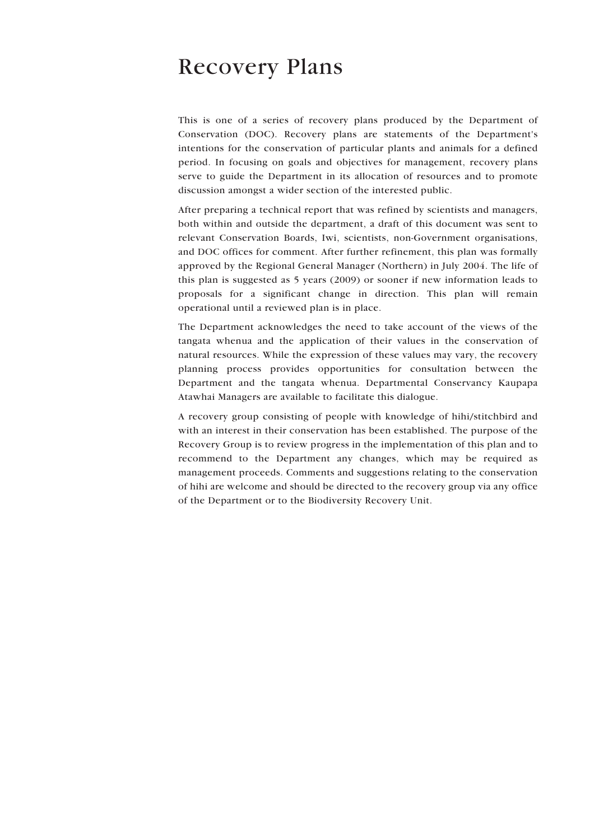## Recovery Plans

This is one of a series of recovery plans produced by the Department of Conservation (DOC). Recovery plans are statements of the Department's intentions for the conservation of particular plants and animals for a defined period. In focusing on goals and objectives for management, recovery plans serve to guide the Department in its allocation of resources and to promote discussion amongst a wider section of the interested public.

After preparing a technical report that was refined by scientists and managers, both within and outside the department, a draft of this document was sent to relevant Conservation Boards, Iwi, scientists, non-Government organisations, and DOC offices for comment. After further refinement, this plan was formally approved by the Regional General Manager (Northern) in July 2004. The life of this plan is suggested as 5 years (2009) or sooner if new information leads to proposals for a significant change in direction. This plan will remain operational until a reviewed plan is in place.

The Department acknowledges the need to take account of the views of the tangata whenua and the application of their values in the conservation of natural resources. While the expression of these values may vary, the recovery planning process provides opportunities for consultation between the Department and the tangata whenua. Departmental Conservancy Kaupapa Atawhai Managers are available to facilitate this dialogue.

A recovery group consisting of people with knowledge of hihi/stitchbird and with an interest in their conservation has been established. The purpose of the Recovery Group is to review progress in the implementation of this plan and to recommend to the Department any changes, which may be required as management proceeds. Comments and suggestions relating to the conservation of hihi are welcome and should be directed to the recovery group via any office of the Department or to the Biodiversity Recovery Unit.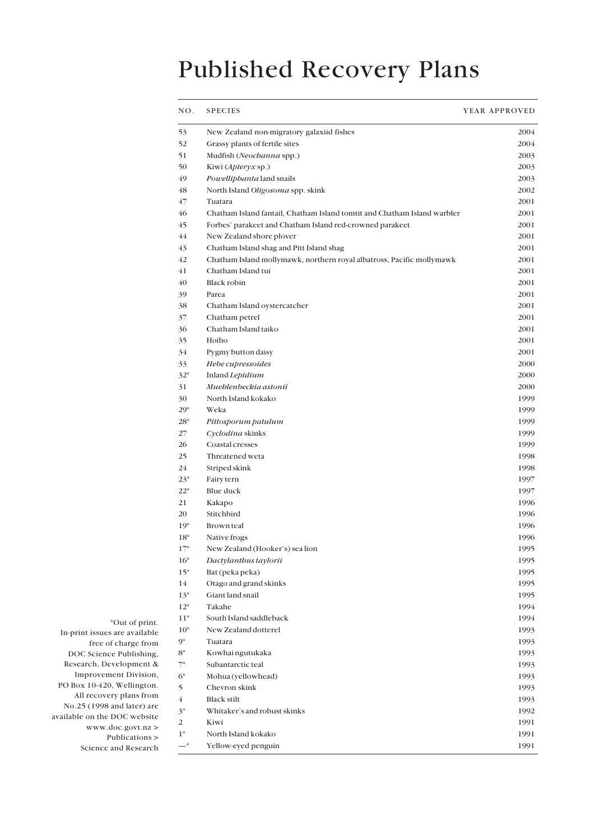# Published Recovery Plans

| NO.              | <b>SPECIES</b>                                                           | YEAR APPROVED |  |
|------------------|--------------------------------------------------------------------------|---------------|--|
| 53               | New Zealand non-migratory galaxiid fishes                                | 2004          |  |
| 52               | Grassy plants of fertile sites                                           | 2004          |  |
| 51               | Mudfish (Neochanna spp.)                                                 | 2003          |  |
| 50               | Kiwi ( <i>Apteryx</i> sp.)                                               | 2003          |  |
| 49               | Powelliphanta land snails                                                | 2003          |  |
| 48               | North Island Oligosoma spp. skink                                        | 2002          |  |
| 47               | Tuatara                                                                  | 2001          |  |
| 46               | Chatham Island fantail, Chatham Island tomtit and Chatham Island warbler | 2001          |  |
| 45               | Forbes' parakeet and Chatham Island red-crowned parakeet                 | 2001          |  |
| 44               | New Zealand shore plover                                                 | 2001          |  |
| 43               | Chatham Island shag and Pitt Island shag                                 | 2001          |  |
| 42               | Chatham Island mollymawk, northern royal albatross, Pacific mollymawk    | 2001          |  |
| 41               | Chatham Island tui                                                       | 2001          |  |
| 40               | <b>Black robin</b>                                                       | 2001          |  |
| 39               | Parea                                                                    | 2001          |  |
| 38               | Chatham Island oystercatcher                                             | 2001          |  |
| 37               | Chatham petrel                                                           | 2001          |  |
| 36               | Chatham Island taiko                                                     | 2001          |  |
| 35               | Hoiho                                                                    | 2001          |  |
| 34               | Pygmy button daisy                                                       | 2001          |  |
| 33               | Hebe cupressoides                                                        | 2000          |  |
| $32*$            | Inland Lepidium                                                          | 2000          |  |
| 31               | Mueblenbeckia astonii                                                    | 2000          |  |
| 30               | North Island kokako                                                      | 1999          |  |
| $29*$            | Weka                                                                     | 1999          |  |
| $28*$            | Pittosporum patulum                                                      | 1999          |  |
| 27               | Cyclodina skinks                                                         | 1999          |  |
| 26               | Coastal cresses                                                          | 1999          |  |
| 25               | Threatened weta                                                          | 1998          |  |
| 24               | Striped skink                                                            | 1998          |  |
| $23*$            | Fairy tern                                                               | 1997          |  |
| $22*$            | Blue duck                                                                | 1997          |  |
| 21               | Kakapo                                                                   | 1996          |  |
| 20               | Stitchbird                                                               | 1996          |  |
| $19*$            | Brown teal                                                               | 1996          |  |
| $18*$            | Native frogs                                                             | 1996          |  |
| $17*$            | New Zealand (Hooker's) sea lion                                          | 1995          |  |
| $16*$            | Dactylanthus taylorii                                                    | 1995          |  |
| $15*$            | Bat (peka peka)                                                          | 1995          |  |
| 14               | Otago and grand skinks                                                   | 1995          |  |
| $13*$            | Giant land snail                                                         | 1995          |  |
| $12*$            | Takahe                                                                   | 1994          |  |
| $11*$            | South Island saddleback                                                  | 1994          |  |
| $10*$            | New Zealand dotterel                                                     | 1993          |  |
| $9*$             | Tuatara                                                                  | 1993          |  |
| $8*$             | Kowhai ngutukaka                                                         | 1993          |  |
| $7*$             | Subantarctic teal                                                        | 1993          |  |
| $6*$             | Mohua (yellowhead)                                                       | 1993          |  |
| 5                | Chevron skink                                                            | 1993          |  |
| $\bf 4$          | <b>Black stilt</b>                                                       | 1993          |  |
| $3^*$            | Whitaker's and robust skinks                                             | 1992          |  |
| $\boldsymbol{2}$ | Kiwi                                                                     | 1991          |  |
| $1*$             | North Island kokako                                                      | 1991          |  |
| $-$ *            | Yellow-eyed penguin                                                      | 1991          |  |

\*Out of print.

In-print issues are available free of charge from DOC Science Publishing, Research, Development & Improvement Division, PO Box 10-420, Wellington. All recovery plans from No.25 (1998 and later) are available on the DOC website

> www.doc.govt.nz > Publications > Science and Research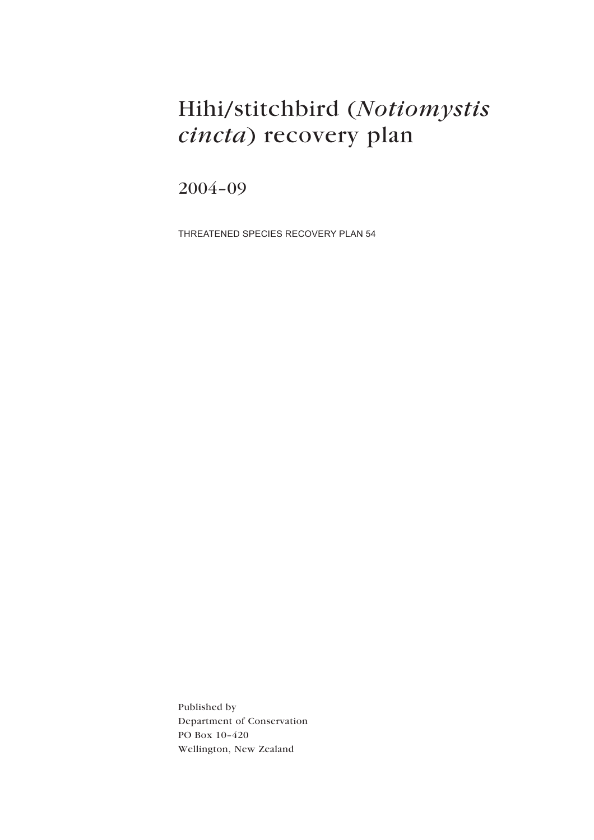# Hihi/stitchbird (Notiomystis cincta) recovery plan

2004-09

THREATENED SPECIES RECOVERY PLAN 54

Published by Department of Conservation PO Box 10-420 Wellington, New Zealand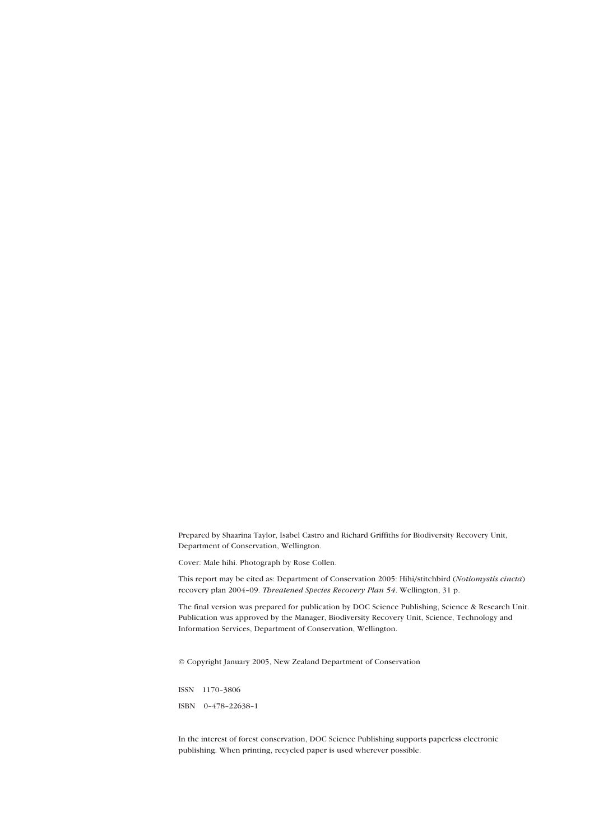Prepared by Shaarina Taylor, Isabel Castro and Richard Griffiths for Biodiversity Recovery Unit, Department of Conservation, Wellington.

Cover: Male hihi. Photograph by Rose Collen.

This report may be cited as: Department of Conservation 2005: Hihi/stitchbird (*Notiomystis cincta*) recovery plan 2004-09. Threatened Species Recovery Plan 54. Wellington, 31 p.

The final version was prepared for publication by DOC Science Publishing, Science & Research Unit. Publication was approved by the Manager, Biodiversity Recovery Unit, Science, Technology and Information Services, Department of Conservation, Wellington.

© Copyright January 2005, New Zealand Department of Conservation

ISSN 1170-3806

ISBN 0-478-22638-1

In the interest of forest conservation, DOC Science Publishing supports paperless electronic publishing. When printing, recycled paper is used wherever possible.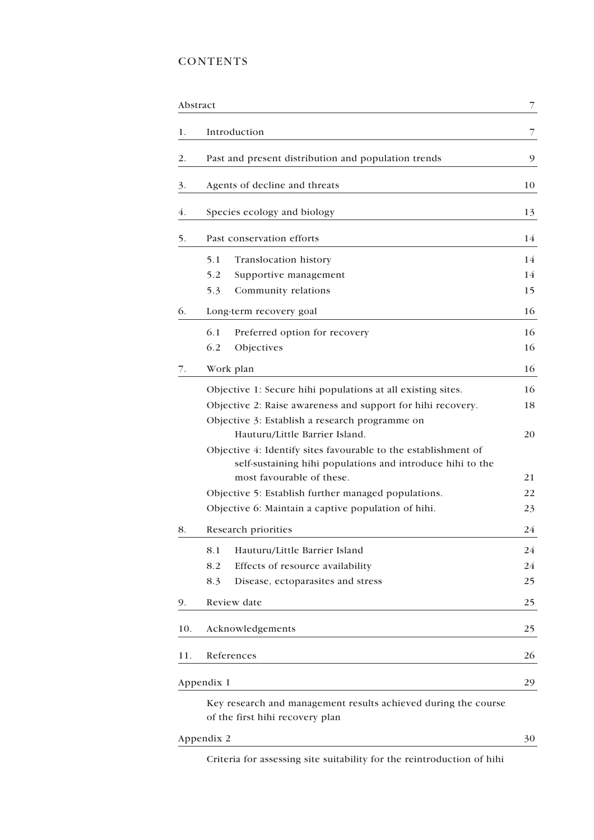## **CONTENTS**

|     | Abstract                                                                                                                                                                                    | 7              |  |  |  |  |
|-----|---------------------------------------------------------------------------------------------------------------------------------------------------------------------------------------------|----------------|--|--|--|--|
| 1.  | Introduction                                                                                                                                                                                |                |  |  |  |  |
| 2.  | Past and present distribution and population trends                                                                                                                                         |                |  |  |  |  |
| 3.  | Agents of decline and threats                                                                                                                                                               |                |  |  |  |  |
| 4.  | Species ecology and biology                                                                                                                                                                 |                |  |  |  |  |
| 5.  | Past conservation efforts                                                                                                                                                                   |                |  |  |  |  |
|     | 5.1<br>Translocation history<br>5.2<br>Supportive management<br>5.3<br>Community relations                                                                                                  | 14<br>14<br>15 |  |  |  |  |
| 6.  | Long-term recovery goal                                                                                                                                                                     |                |  |  |  |  |
|     | 6.1<br>Preferred option for recovery<br>6.2<br>Objectives                                                                                                                                   | 16<br>16       |  |  |  |  |
| 7.  | Work plan                                                                                                                                                                                   | 16             |  |  |  |  |
|     | Objective 1: Secure hihi populations at all existing sites.<br>Objective 2: Raise awareness and support for hihi recovery.<br>Objective 3: Establish a research programme on                | 16<br>18       |  |  |  |  |
|     | Hauturu/Little Barrier Island.<br>Objective 4: Identify sites favourable to the establishment of<br>self-sustaining hihi populations and introduce hihi to the<br>most favourable of these. |                |  |  |  |  |
|     | Objective 5: Establish further managed populations.                                                                                                                                         |                |  |  |  |  |
|     | Objective 6: Maintain a captive population of hihi.                                                                                                                                         |                |  |  |  |  |
| 8.  | Research priorities                                                                                                                                                                         | 24             |  |  |  |  |
|     | Hauturu/Little Barrier Island<br>8.1<br>8.2<br>Effects of resource availability<br>8.3<br>Disease, ectoparasites and stress                                                                 | 24<br>24<br>25 |  |  |  |  |
| 9.  | Review date                                                                                                                                                                                 | 25             |  |  |  |  |
| 10. | Acknowledgements                                                                                                                                                                            |                |  |  |  |  |
| 11. | References                                                                                                                                                                                  |                |  |  |  |  |
|     | Appendix 1                                                                                                                                                                                  | 29             |  |  |  |  |
|     | Key research and management results achieved during the course<br>of the first hihi recovery plan                                                                                           |                |  |  |  |  |
|     | Appendix 2                                                                                                                                                                                  | 30             |  |  |  |  |

[Criteria for assessing site suitability for the reintroduction of hihi](#page-29-0)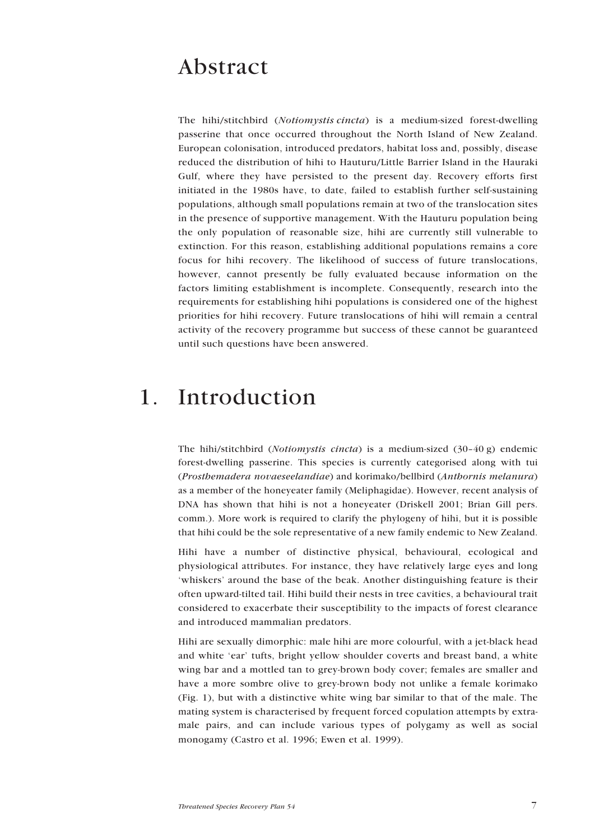## <span id="page-6-0"></span>Abstract

The hihi/stitchbird (Notiomystis cincta) is a medium-sized forest-dwelling passerine that once occurred throughout the North Island of New Zealand. European colonisation, introduced predators, habitat loss and, possibly, disease reduced the distribution of hihi to Hauturu/Little Barrier Island in the Hauraki Gulf, where they have persisted to the present day. Recovery efforts first initiated in the 1980s have, to date, failed to establish further self-sustaining populations, although small populations remain at two of the translocation sites in the presence of supportive management. With the Hauturu population being the only population of reasonable size, hihi are currently still vulnerable to extinction. For this reason, establishing additional populations remains a core focus for hihi recovery. The likelihood of success of future translocations, however, cannot presently be fully evaluated because information on the factors limiting establishment is incomplete. Consequently, research into the requirements for establishing hihi populations is considered one of the highest priorities for hihi recovery. Future translocations of hihi will remain a central activity of the recovery programme but success of these cannot be guaranteed until such questions have been answered.

## 1. Introduction

The hihi/stitchbird (*Notiomystis cincta*) is a medium-sized  $(30-40 g)$  endemic forest-dwelling passerine. This species is currently categorised along with tui (Prosthemadera novaeseelandiae) and korimako/bellbird (Anthornis melanura) as a member of the honeyeater family (Meliphagidae). However, recent analysis of DNA has shown that hihi is not a honeyeater (Driskell 2001; Brian Gill pers. comm.). More work is required to clarify the phylogeny of hihi, but it is possible that hihi could be the sole representative of a new family endemic to New Zealand.

Hihi have a number of distinctive physical, behavioural, ecological and physiological attributes. For instance, they have relatively large eyes and long ëwhiskersí around the base of the beak. Another distinguishing feature is their often upward-tilted tail. Hihi build their nests in tree cavities, a behavioural trait considered to exacerbate their susceptibility to the impacts of forest clearance and introduced mammalian predators.

Hihi are sexually dimorphic: male hihi are more colourful, with a jet-black head and white 'ear' tufts, bright yellow shoulder coverts and breast band, a white wing bar and a mottled tan to grey-brown body cover; females are smaller and have a more sombre olive to grey-brown body not unlike a female korimako (Fig. 1), but with a distinctive white wing bar similar to that of the male. The mating system is characterised by frequent forced copulation attempts by extramale pairs, and can include various types of polygamy as well as social monogamy (Castro et al. 1996; Ewen et al. 1999).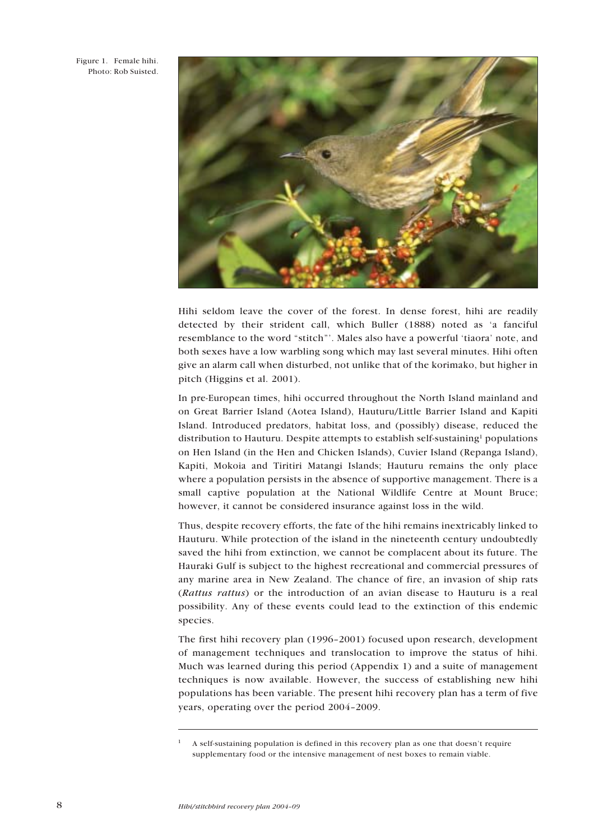Figure 1. Female hihi. Photo: Rob Suisted.



Hihi seldom leave the cover of the forest. In dense forest, hihi are readily detected by their strident call, which Buller (1888) noted as ëa fanciful resemblance to the word "stitch". Males also have a powerful 'tiaora' note, and both sexes have a low warbling song which may last several minutes. Hihi often give an alarm call when disturbed, not unlike that of the korimako, but higher in pitch (Higgins et al. 2001).

In pre-European times, hihi occurred throughout the North Island mainland and on Great Barrier Island (Aotea Island), Hauturu/Little Barrier Island and Kapiti Island. Introduced predators, habitat loss, and (possibly) disease, reduced the distribution to Hauturu. Despite attempts to establish self-sustaining<sup>1</sup> populations on Hen Island (in the Hen and Chicken Islands), Cuvier Island (Repanga Island), Kapiti, Mokoia and Tiritiri Matangi Islands; Hauturu remains the only place where a population persists in the absence of supportive management. There is a small captive population at the National Wildlife Centre at Mount Bruce; however, it cannot be considered insurance against loss in the wild.

Thus, despite recovery efforts, the fate of the hihi remains inextricably linked to Hauturu. While protection of the island in the nineteenth century undoubtedly saved the hihi from extinction, we cannot be complacent about its future. The Hauraki Gulf is subject to the highest recreational and commercial pressures of any marine area in New Zealand. The chance of fire, an invasion of ship rats (Rattus rattus) or the introduction of an avian disease to Hauturu is a real possibility. Any of these events could lead to the extinction of this endemic species.

The first hihi recovery plan  $(1996-2001)$  focused upon research, development of management techniques and translocation to improve the status of hihi. Much was learned during this period (Appendix 1) and a suite of management techniques is now available. However, the success of establishing new hihi populations has been variable. The present hihi recovery plan has a term of five years, operating over the period 2004-2009.

<sup>1</sup> A self-sustaining population is defined in this recovery plan as one that doesnít require supplementary food or the intensive management of nest boxes to remain viable.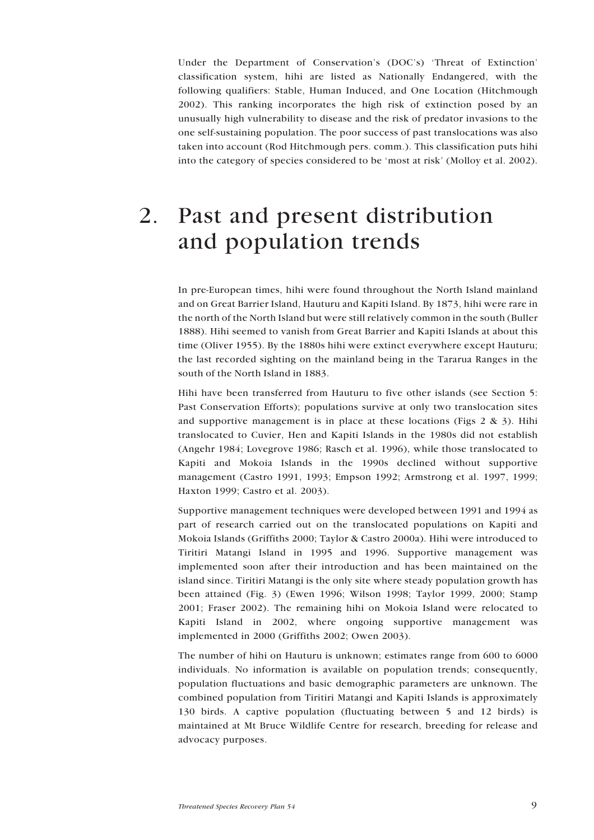<span id="page-8-0"></span>Under the Department of Conservation's (DOC's) 'Threat of Extinction' classification system, hihi are listed as Nationally Endangered, with the following qualifiers: Stable, Human Induced, and One Location (Hitchmough 2002). This ranking incorporates the high risk of extinction posed by an unusually high vulnerability to disease and the risk of predator invasions to the one self-sustaining population. The poor success of past translocations was also taken into account (Rod Hitchmough pers. comm.). This classification puts hihi into the category of species considered to be 'most at risk' (Molloy et al. 2002).

## 2. Past and present distribution and population trends

In pre-European times, hihi were found throughout the North Island mainland and on Great Barrier Island, Hauturu and Kapiti Island. By 1873, hihi were rare in the north of the North Island but were still relatively common in the south (Buller 1888). Hihi seemed to vanish from Great Barrier and Kapiti Islands at about this time (Oliver 1955). By the 1880s hihi were extinct everywhere except Hauturu; the last recorded sighting on the mainland being in the Tararua Ranges in the south of the North Island in 1883.

Hihi have been transferred from Hauturu to five other islands (see Section 5: Past Conservation Efforts); populations survive at only two translocation sites and supportive management is in place at these locations (Figs  $2 \& 3$ ). Hihi translocated to Cuvier, Hen and Kapiti Islands in the 1980s did not establish (Angehr 1984; Lovegrove 1986; Rasch et al. 1996), while those translocated to Kapiti and Mokoia Islands in the 1990s declined without supportive management (Castro 1991, 1993; Empson 1992; Armstrong et al. 1997, 1999; Haxton 1999; Castro et al. 2003).

Supportive management techniques were developed between 1991 and 1994 as part of research carried out on the translocated populations on Kapiti and Mokoia Islands (Griffiths 2000; Taylor & Castro 2000a). Hihi were introduced to Tiritiri Matangi Island in 1995 and 1996. Supportive management was implemented soon after their introduction and has been maintained on the island since. Tiritiri Matangi is the only site where steady population growth has been attained (Fig. 3) (Ewen 1996; Wilson 1998; Taylor 1999, 2000; Stamp 2001; Fraser 2002). The remaining hihi on Mokoia Island were relocated to Kapiti Island in 2002, where ongoing supportive management was implemented in 2000 (Griffiths 2002; Owen 2003).

The number of hihi on Hauturu is unknown; estimates range from 600 to 6000 individuals. No information is available on population trends; consequently, population fluctuations and basic demographic parameters are unknown. The combined population from Tiritiri Matangi and Kapiti Islands is approximately 130 birds. A captive population (fluctuating between 5 and 12 birds) is maintained at Mt Bruce Wildlife Centre for research, breeding for release and advocacy purposes.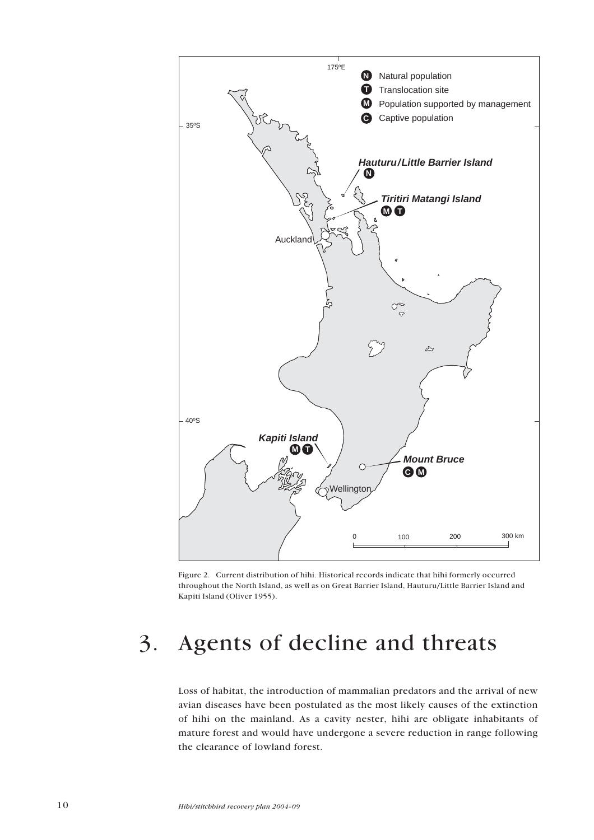<span id="page-9-0"></span>

Figure 2. Current distribution of hihi. Historical records indicate that hihi formerly occurred throughout the North Island, as well as on Great Barrier Island, Hauturu/Little Barrier Island and Kapiti Island (Oliver 1955).

# 3. Agents of decline and threats

Loss of habitat, the introduction of mammalian predators and the arrival of new avian diseases have been postulated as the most likely causes of the extinction of hihi on the mainland. As a cavity nester, hihi are obligate inhabitants of mature forest and would have undergone a severe reduction in range following the clearance of lowland forest.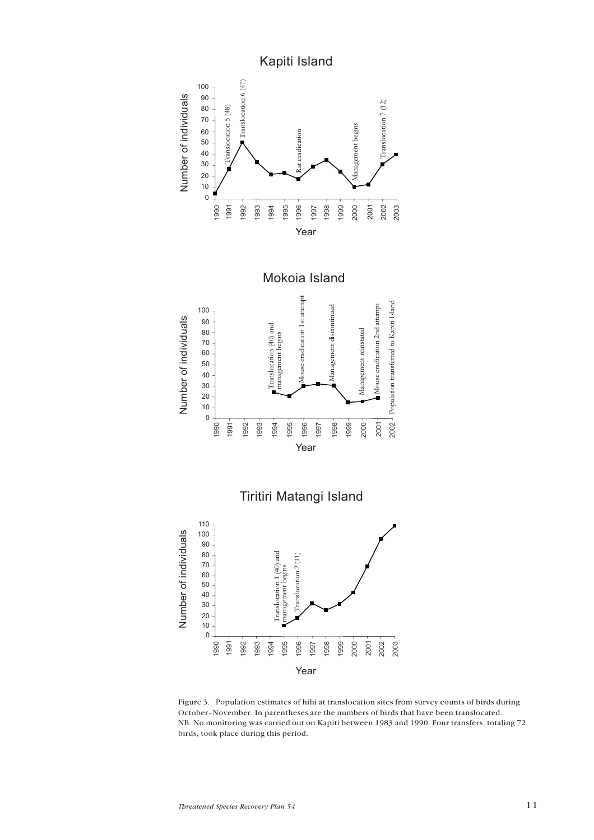

Figure 3. Population estimates of hihi at translocation sites from survey counts of birds during October-November. In parentheses are the numbers of birds that have been translocated. NB. No monitoring was carried out on Kapiti between 1983 and 1990. Four transfers, totaling 72 birds, took place during this period.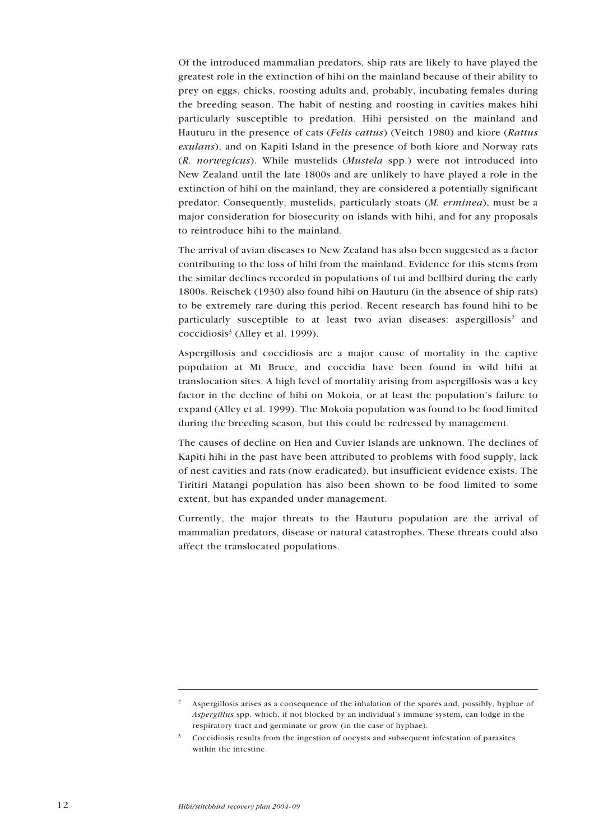Of the introduced mammalian predators, ship rats are likely to have played the greatest role in the extinction of hihi on the mainland because of their ability to prey on eggs, chicks, roosting adults and, probably, incubating females during the breeding season. The habit of nesting and roosting in cavities makes hihi particularly susceptible to predation. Hihi persisted on the mainland and Hauturu in the presence of cats (Felis cattus) (Veitch 1980) and kiore (Rattus exulans), and on Kapiti Island in the presence of both kiore and Norway rats (R. norwegicus). While mustelids (Mustela spp.) were not introduced into New Zealand until the late 1800s and are unlikely to have played a role in the extinction of hihi on the mainland, they are considered a potentially significant predator. Consequently, mustelids, particularly stoats (M. erminea), must be a major consideration for biosecurity on islands with hihi, and for any proposals to reintroduce hihi to the mainland.

The arrival of avian diseases to New Zealand has also been suggested as a factor contributing to the loss of hihi from the mainland. Evidence for this stems from the similar declines recorded in populations of tui and bellbird during the early 1800s. Reischek (1930) also found hihi on Hauturu (in the absence of ship rats) to be extremely rare during this period. Recent research has found hihi to be particularly susceptible to at least two avian diseases: aspergillosis $2$  and coccidiosis<sup>3</sup> (Alley et al. 1999).

Aspergillosis and coccidiosis are a major cause of mortality in the captive population at Mt Bruce, and coccidia have been found in wild hihi at translocation sites. A high level of mortality arising from aspergillosis was a key factor in the decline of hihi on Mokoia, or at least the population's failure to expand (Alley et al. 1999). The Mokoia population was found to be food limited during the breeding season, but this could be redressed by management.

The causes of decline on Hen and Cuvier Islands are unknown. The declines of Kapiti hihi in the past have been attributed to problems with food supply, lack of nest cavities and rats (now eradicated), but insufficient evidence exists. The Tiritiri Matangi population has also been shown to be food limited to some extent, but has expanded under management.

Currently, the major threats to the Hauturu population are the arrival of mammalian predators, disease or natural catastrophes. These threats could also affect the translocated populations.

<sup>&</sup>lt;sup>2</sup> Aspergillosis arises as a consequence of the inhalation of the spores and, possibly, hyphae of Aspergillus spp. which, if not blocked by an individual's immune system, can lodge in the respiratory tract and germinate or grow (in the case of hyphae).

<sup>3</sup> Coccidiosis results from the ingestion of oocysts and subsequent infestation of parasites within the intestine.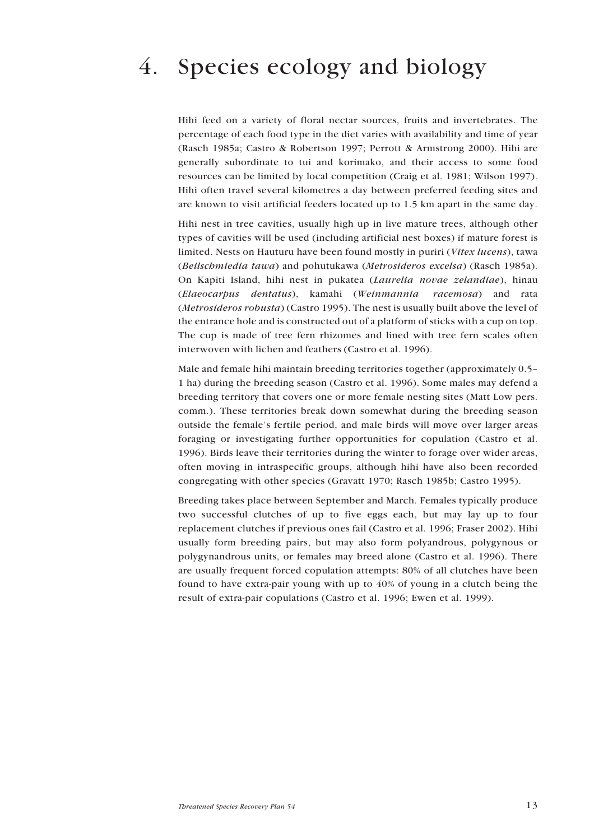# <span id="page-12-0"></span>4. Species ecology and biology

Hihi feed on a variety of floral nectar sources, fruits and invertebrates. The percentage of each food type in the diet varies with availability and time of year (Rasch 1985a; Castro & Robertson 1997; Perrott & Armstrong 2000). Hihi are generally subordinate to tui and korimako, and their access to some food resources can be limited by local competition (Craig et al. 1981; Wilson 1997). Hihi often travel several kilometres a day between preferred feeding sites and are known to visit artificial feeders located up to 1.5 km apart in the same day.

Hihi nest in tree cavities, usually high up in live mature trees, although other types of cavities will be used (including artificial nest boxes) if mature forest is limited. Nests on Hauturu have been found mostly in puriri (Vitex lucens), tawa (Beilschmiedia tawa) and pohutukawa (Metrosideros excelsa) (Rasch 1985a). On Kapiti Island, hihi nest in pukatea (Laurelia novae zelandiae), hinau (Elaeocarpus dentatus), kamahi (Weinmannia racemosa) and rata (Metrosideros robusta) (Castro 1995). The nest is usually built above the level of the entrance hole and is constructed out of a platform of sticks with a cup on top. The cup is made of tree fern rhizomes and lined with tree fern scales often interwoven with lichen and feathers (Castro et al. 1996).

Male and female hihi maintain breeding territories together (approximately 0.5– 1 ha) during the breeding season (Castro et al. 1996). Some males may defend a breeding territory that covers one or more female nesting sites (Matt Low pers. comm.). These territories break down somewhat during the breeding season outside the female's fertile period, and male birds will move over larger areas foraging or investigating further opportunities for copulation (Castro et al. 1996). Birds leave their territories during the winter to forage over wider areas, often moving in intraspecific groups, although hihi have also been recorded congregating with other species (Gravatt 1970; Rasch 1985b; Castro 1995).

Breeding takes place between September and March. Females typically produce two successful clutches of up to five eggs each, but may lay up to four replacement clutches if previous ones fail (Castro et al. 1996; Fraser 2002). Hihi usually form breeding pairs, but may also form polyandrous, polygynous or polygynandrous units, or females may breed alone (Castro et al. 1996). There are usually frequent forced copulation attempts: 80% of all clutches have been found to have extra-pair young with up to 40% of young in a clutch being the result of extra-pair copulations (Castro et al. 1996; Ewen et al. 1999).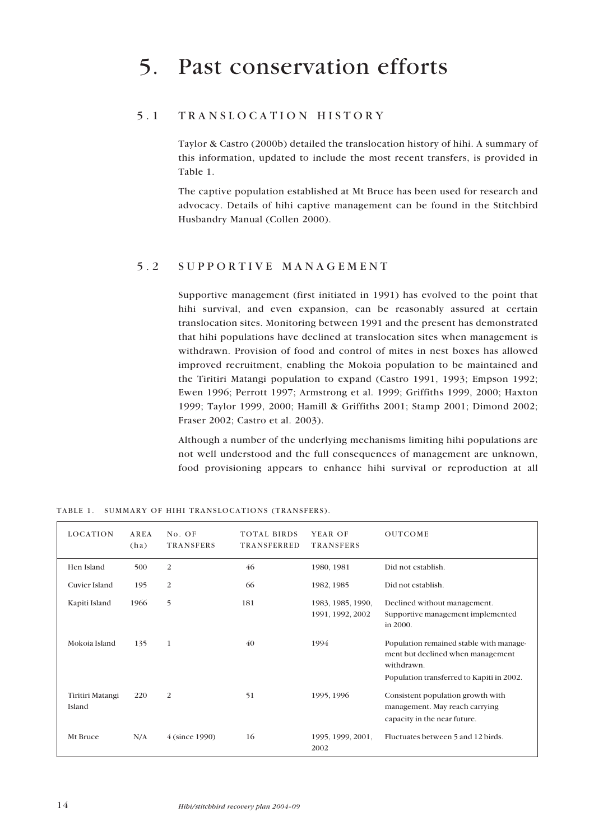## <span id="page-13-0"></span>5.1 TRANSLOCATION HISTORY

Taylor & Castro (2000b) detailed the translocation history of hihi. A summary of this information, updated to include the most recent transfers, is provided in Table 1.

The captive population established at Mt Bruce has been used for research and advocacy. Details of hihi captive management can be found in the Stitchbird Husbandry Manual (Collen 2000).

### 5.2 SUPPORTIVE MANAGEMENT

Supportive management (first initiated in 1991) has evolved to the point that hihi survival, and even expansion, can be reasonably assured at certain translocation sites. Monitoring between 1991 and the present has demonstrated that hihi populations have declined at translocation sites when management is withdrawn. Provision of food and control of mites in nest boxes has allowed improved recruitment, enabling the Mokoia population to be maintained and the Tiritiri Matangi population to expand (Castro 1991, 1993; Empson 1992; Ewen 1996; Perrott 1997; Armstrong et al. 1999; Griffiths 1999, 2000; Haxton 1999; Taylor 1999, 2000; Hamill & Griffiths 2001; Stamp 2001; Dimond 2002; Fraser 2002; Castro et al. 2003).

Although a number of the underlying mechanisms limiting hihi populations are not well understood and the full consequences of management are unknown, food provisioning appears to enhance hihi survival or reproduction at all

| <b>LOCATION</b>            | AREA<br>(ha) | No. OF<br>TRANSFERS | <b>TOTAL BIRDS</b><br>TRANSFERRED | YEAR OF<br>TRANSFERS                  | <b>OUTCOME</b>                                                                                                                          |
|----------------------------|--------------|---------------------|-----------------------------------|---------------------------------------|-----------------------------------------------------------------------------------------------------------------------------------------|
| Hen Island                 | 500          | $\overline{2}$      | 46                                | 1980, 1981                            | Did not establish.                                                                                                                      |
| Cuvier Island              | 195          | $\overline{2}$      | 66                                | 1982, 1985                            | Did not establish.                                                                                                                      |
| Kapiti Island              | 1966         | 5                   | 181                               | 1983, 1985, 1990,<br>1991, 1992, 2002 | Declined without management.<br>Supportive management implemented<br>in 2000.                                                           |
| Mokoia Island              | 135          | $\mathbf{1}$        | 40                                | 1994                                  | Population remained stable with manage-<br>ment but declined when management<br>withdrawn.<br>Population transferred to Kapiti in 2002. |
| Tiritiri Matangi<br>Island | 220          | $\overline{2}$      | 51                                | 1995, 1996                            | Consistent population growth with<br>management. May reach carrying<br>capacity in the near future.                                     |
| Mt Bruce                   | N/A          | 4 (since 1990)      | 16                                | 1995, 1999, 2001,<br>2002             | Fluctuates between 5 and 12 birds.                                                                                                      |

TABLE 1. SUMMARY OF HIHI TRANSLOCATIONS (TRANSFERS).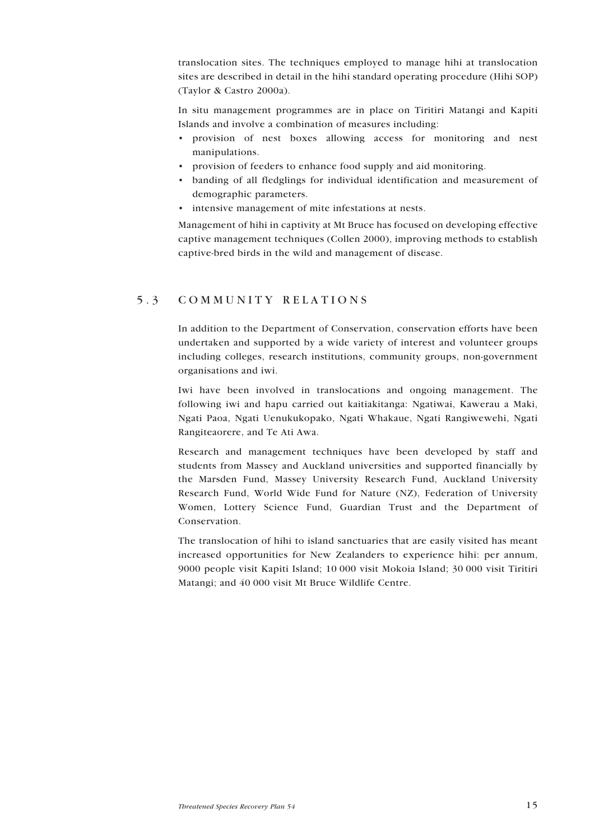<span id="page-14-0"></span>translocation sites. The techniques employed to manage hihi at translocation sites are described in detail in the hihi standard operating procedure (Hihi SOP) (Taylor & Castro 2000a).

In situ management programmes are in place on Tiritiri Matangi and Kapiti Islands and involve a combination of measures including:

- provision of nest boxes allowing access for monitoring and nest manipulations.
- provision of feeders to enhance food supply and aid monitoring.
- banding of all fledglings for individual identification and measurement of demographic parameters.
- $\cdot$  intensive management of mite infestations at nests.

Management of hihi in captivity at Mt Bruce has focused on developing effective captive management techniques (Collen 2000), improving methods to establish captive-bred birds in the wild and management of disease.

### 5.3 COMMUNITY RELATIONS

In addition to the Department of Conservation, conservation efforts have been undertaken and supported by a wide variety of interest and volunteer groups including colleges, research institutions, community groups, non-government organisations and iwi.

Iwi have been involved in translocations and ongoing management. The following iwi and hapu carried out kaitiakitanga: Ngatiwai, Kawerau a Maki, Ngati Paoa, Ngati Uenukukopako, Ngati Whakaue, Ngati Rangiwewehi, Ngati Rangiteaorere, and Te Ati Awa.

Research and management techniques have been developed by staff and students from Massey and Auckland universities and supported financially by the Marsden Fund, Massey University Research Fund, Auckland University Research Fund, World Wide Fund for Nature (NZ), Federation of University Women, Lottery Science Fund, Guardian Trust and the Department of Conservation.

The translocation of hihi to island sanctuaries that are easily visited has meant increased opportunities for New Zealanders to experience hihi: per annum, 9000 people visit Kapiti Island; 10 000 visit Mokoia Island; 30 000 visit Tiritiri Matangi; and 40 000 visit Mt Bruce Wildlife Centre.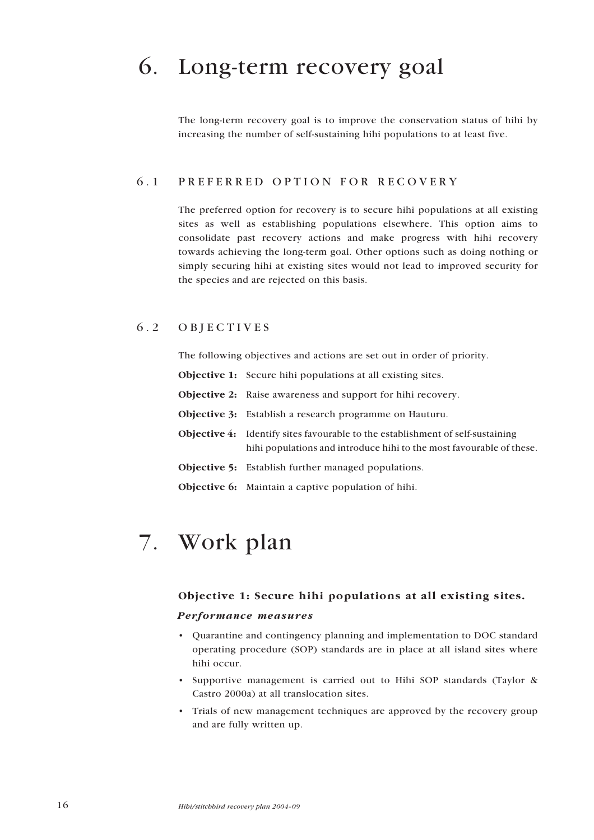# <span id="page-15-0"></span>6. Long-term recovery goal

The long-term recovery goal is to improve the conservation status of hihi by increasing the number of self-sustaining hihi populations to at least five.

## 6.1 PREFERRED OPTION FOR RECOVERY

The preferred option for recovery is to secure hihi populations at all existing sites as well as establishing populations elsewhere. This option aims to consolidate past recovery actions and make progress with hihi recovery towards achieving the long-term goal. Other options such as doing nothing or simply securing hihi at existing sites would not lead to improved security for the species and are rejected on this basis.

### 6.2 OBJECTIVES

The following objectives and actions are set out in order of priority.

- Objective 1: Secure hihi populations at all existing sites.
- Objective 2: Raise awareness and support for hihi recovery.
- Objective 3: Establish a research programme on Hauturu.
- Objective 4: Identify sites favourable to the establishment of self-sustaining hihi populations and introduce hihi to the most favourable of these.
- Objective 5: Establish further managed populations.
- Objective 6: Maintain a captive population of hihi.

## 7. Work plan

#### Objective 1: Secure hihi populations at all existing sites.

#### Performance measures

- ï Quarantine and contingency planning and implementation to DOC standard operating procedure (SOP) standards are in place at all island sites where hihi occur.
- Supportive management is carried out to Hihi SOP standards (Taylor & Castro 2000a) at all translocation sites.
- ï Trials of new management techniques are approved by the recovery group and are fully written up.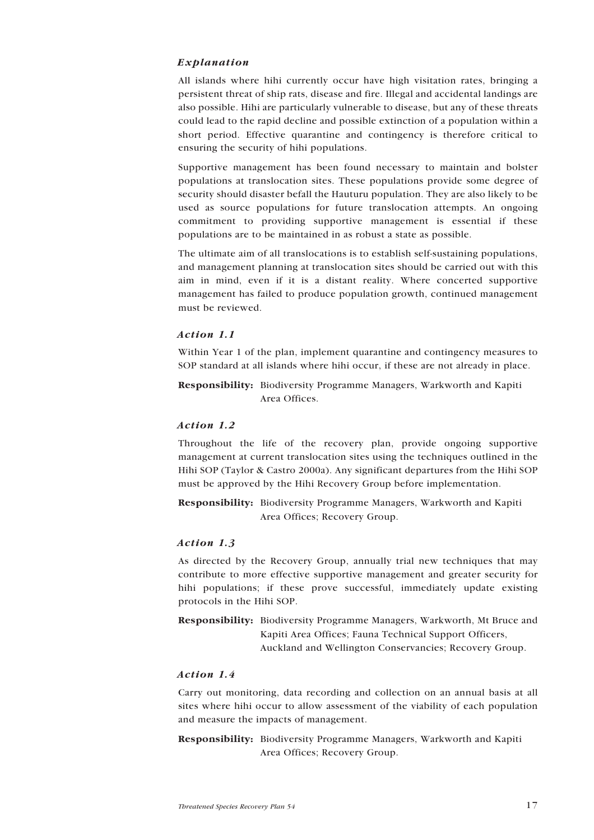#### Explanation

All islands where hihi currently occur have high visitation rates, bringing a persistent threat of ship rats, disease and fire. Illegal and accidental landings are also possible. Hihi are particularly vulnerable to disease, but any of these threats could lead to the rapid decline and possible extinction of a population within a short period. Effective quarantine and contingency is therefore critical to ensuring the security of hihi populations.

Supportive management has been found necessary to maintain and bolster populations at translocation sites. These populations provide some degree of security should disaster befall the Hauturu population. They are also likely to be used as source populations for future translocation attempts. An ongoing commitment to providing supportive management is essential if these populations are to be maintained in as robust a state as possible.

The ultimate aim of all translocations is to establish self-sustaining populations, and management planning at translocation sites should be carried out with this aim in mind, even if it is a distant reality. Where concerted supportive management has failed to produce population growth, continued management must be reviewed.

#### Action 1.1

Within Year 1 of the plan, implement quarantine and contingency measures to SOP standard at all islands where hihi occur, if these are not already in place.

Responsibility: Biodiversity Programme Managers, Warkworth and Kapiti Area Offices.

#### Action 1.2

Throughout the life of the recovery plan, provide ongoing supportive management at current translocation sites using the techniques outlined in the Hihi SOP (Taylor & Castro 2000a). Any significant departures from the Hihi SOP must be approved by the Hihi Recovery Group before implementation.

Responsibility: Biodiversity Programme Managers, Warkworth and Kapiti Area Offices; Recovery Group.

#### Action 1.3

As directed by the Recovery Group, annually trial new techniques that may contribute to more effective supportive management and greater security for hihi populations; if these prove successful, immediately update existing protocols in the Hihi SOP.

Responsibility: Biodiversity Programme Managers, Warkworth, Mt Bruce and Kapiti Area Offices; Fauna Technical Support Officers, Auckland and Wellington Conservancies; Recovery Group.

#### Action 1.4

Carry out monitoring, data recording and collection on an annual basis at all sites where hihi occur to allow assessment of the viability of each population and measure the impacts of management.

Responsibility: Biodiversity Programme Managers, Warkworth and Kapiti Area Offices; Recovery Group.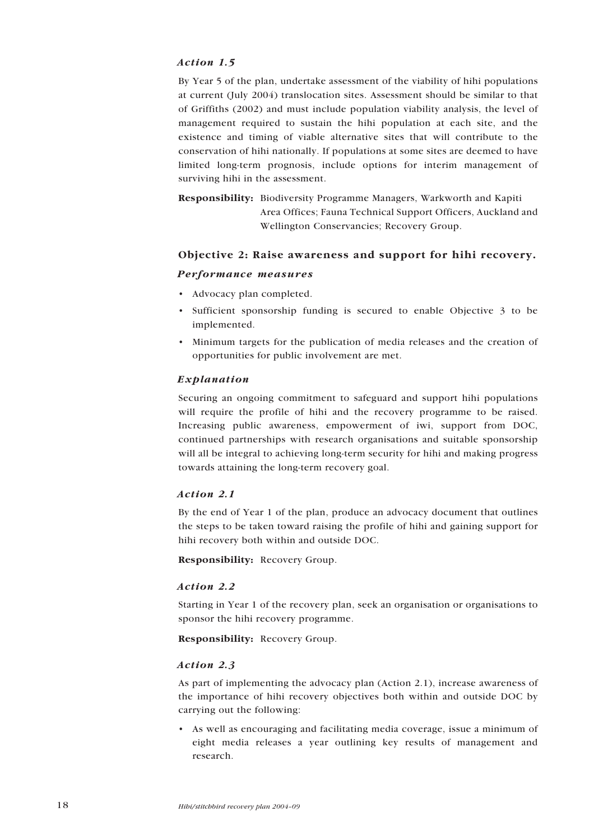#### <span id="page-17-0"></span>Action 1.5

By Year 5 of the plan, undertake assessment of the viability of hihi populations at current (July 2004) translocation sites. Assessment should be similar to that of Griffiths (2002) and must include population viability analysis, the level of management required to sustain the hihi population at each site, and the existence and timing of viable alternative sites that will contribute to the conservation of hihi nationally. If populations at some sites are deemed to have limited long-term prognosis, include options for interim management of surviving hihi in the assessment.

Responsibility: Biodiversity Programme Managers, Warkworth and Kapiti Area Offices; Fauna Technical Support Officers, Auckland and Wellington Conservancies; Recovery Group.

### Objective 2: Raise awareness and support for hihi recovery.

#### Performance measures

- Advocacy plan completed.
- $\cdot$  Sufficient sponsorship funding is secured to enable Objective 3 to be implemented.
- Minimum targets for the publication of media releases and the creation of opportunities for public involvement are met.

#### Explanation

Securing an ongoing commitment to safeguard and support hihi populations will require the profile of hihi and the recovery programme to be raised. Increasing public awareness, empowerment of iwi, support from DOC, continued partnerships with research organisations and suitable sponsorship will all be integral to achieving long-term security for hihi and making progress towards attaining the long-term recovery goal.

#### Action 2.1

By the end of Year 1 of the plan, produce an advocacy document that outlines the steps to be taken toward raising the profile of hihi and gaining support for hihi recovery both within and outside DOC.

Responsibility: Recovery Group.

#### Action 2.2

Starting in Year 1 of the recovery plan, seek an organisation or organisations to sponsor the hihi recovery programme.

Responsibility: Recovery Group.

#### Action 2.3

As part of implementing the advocacy plan (Action 2.1), increase awareness of the importance of hihi recovery objectives both within and outside DOC by carrying out the following:

ï As well as encouraging and facilitating media coverage, issue a minimum of eight media releases a year outlining key results of management and research.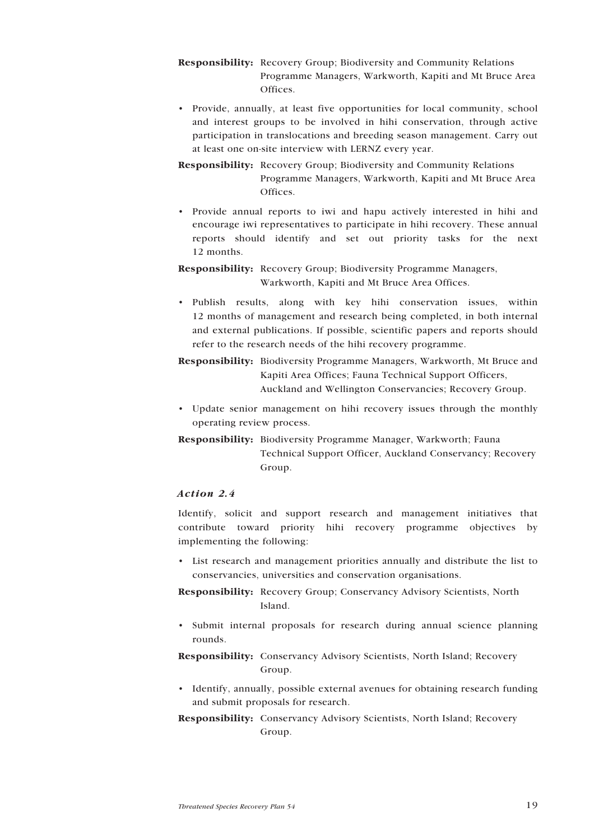- Responsibility: Recovery Group; Biodiversity and Community Relations Programme Managers, Warkworth, Kapiti and Mt Bruce Area Offices.
- Provide, annually, at least five opportunities for local community, school and interest groups to be involved in hihi conservation, through active participation in translocations and breeding season management. Carry out at least one on-site interview with LERNZ every year.
- Responsibility: Recovery Group; Biodiversity and Community Relations Programme Managers, Warkworth, Kapiti and Mt Bruce Area Offices.
- ï Provide annual reports to iwi and hapu actively interested in hihi and encourage iwi representatives to participate in hihi recovery. These annual reports should identify and set out priority tasks for the next 12 months.

Responsibility: Recovery Group; Biodiversity Programme Managers, Warkworth, Kapiti and Mt Bruce Area Offices.

ï Publish results, along with key hihi conservation issues, within 12 months of management and research being completed, in both internal and external publications. If possible, scientific papers and reports should refer to the research needs of the hihi recovery programme.

Responsibility: Biodiversity Programme Managers, Warkworth, Mt Bruce and Kapiti Area Offices; Fauna Technical Support Officers, Auckland and Wellington Conservancies; Recovery Group.

- ï Update senior management on hihi recovery issues through the monthly operating review process.
- Responsibility: Biodiversity Programme Manager, Warkworth; Fauna Technical Support Officer, Auckland Conservancy; Recovery Group.

#### Action 2.4

Identify, solicit and support research and management initiatives that contribute toward priority hihi recovery programme objectives by implementing the following:

• List research and management priorities annually and distribute the list to conservancies, universities and conservation organisations.

Responsibility: Recovery Group; Conservancy Advisory Scientists, North Island.

ï Submit internal proposals for research during annual science planning rounds.

Responsibility: Conservancy Advisory Scientists, North Island; Recovery Group.

- ï Identify, annually, possible external avenues for obtaining research funding and submit proposals for research.
- Responsibility: Conservancy Advisory Scientists, North Island; Recovery Group.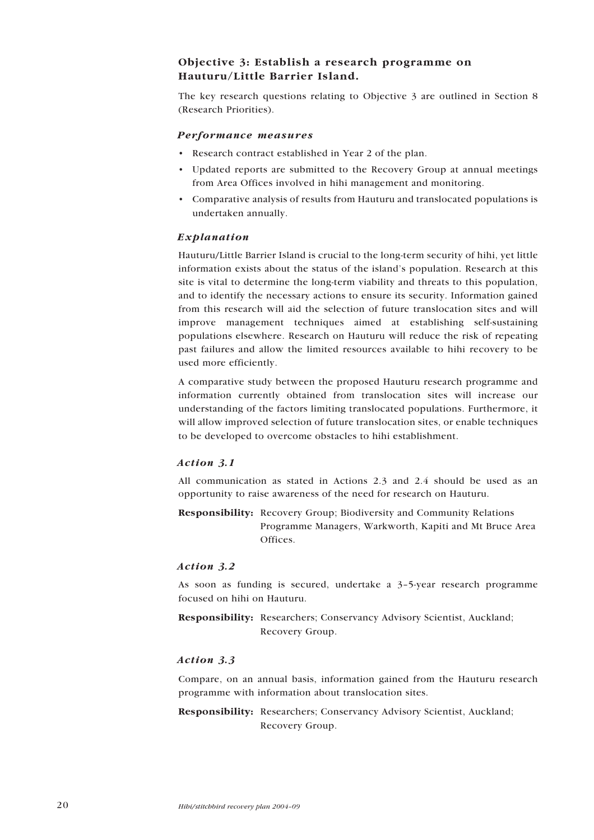### <span id="page-19-0"></span>Objective 3: Establish a research programme on Hauturu/Little Barrier Island.

The key research questions relating to Objective 3 are outlined in Section 8 (Research Priorities).

#### Performance measures

- Research contract established in Year 2 of the plan.
- Updated reports are submitted to the Recovery Group at annual meetings from Area Offices involved in hihi management and monitoring.
- ï Comparative analysis of results from Hauturu and translocated populations is undertaken annually.

#### Explanation

Hauturu/Little Barrier Island is crucial to the long-term security of hihi, yet little information exists about the status of the island's population. Research at this site is vital to determine the long-term viability and threats to this population, and to identify the necessary actions to ensure its security. Information gained from this research will aid the selection of future translocation sites and will improve management techniques aimed at establishing self-sustaining populations elsewhere. Research on Hauturu will reduce the risk of repeating past failures and allow the limited resources available to hihi recovery to be used more efficiently.

A comparative study between the proposed Hauturu research programme and information currently obtained from translocation sites will increase our understanding of the factors limiting translocated populations. Furthermore, it will allow improved selection of future translocation sites, or enable techniques to be developed to overcome obstacles to hihi establishment.

#### Action 3.1

All communication as stated in Actions 2.3 and 2.4 should be used as an opportunity to raise awareness of the need for research on Hauturu.

Responsibility: Recovery Group; Biodiversity and Community Relations Programme Managers, Warkworth, Kapiti and Mt Bruce Area Offices.

#### Action 3.2

As soon as funding is secured, undertake a  $3-5$ -year research programme focused on hihi on Hauturu.

Responsibility: Researchers; Conservancy Advisory Scientist, Auckland; Recovery Group.

#### Action 3.3

Compare, on an annual basis, information gained from the Hauturu research programme with information about translocation sites.

Responsibility: Researchers; Conservancy Advisory Scientist, Auckland; Recovery Group.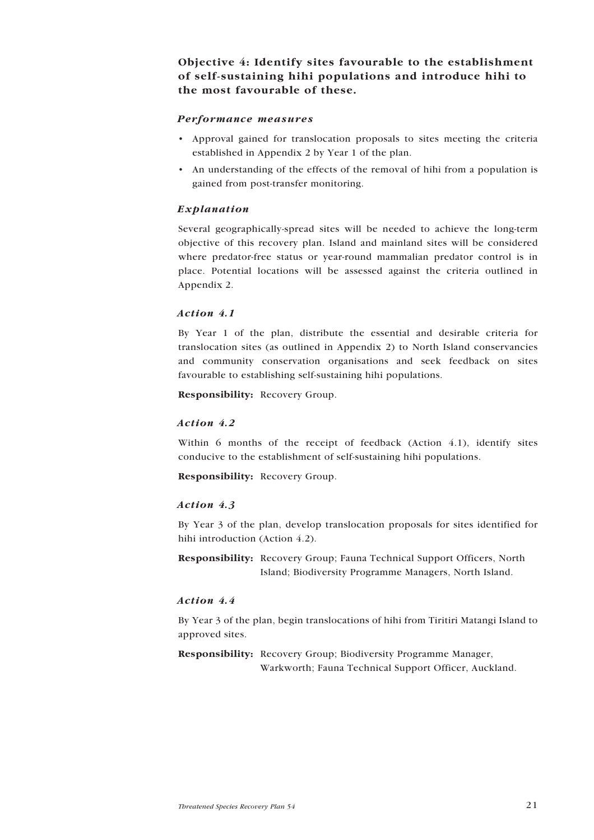<span id="page-20-0"></span>Objective 4: Identify sites favourable to the establishment of self-sustaining hihi populations and introduce hihi to the most favourable of these.

#### Performance measures

- ï Approval gained for translocation proposals to sites meeting the criteria established in Appendix 2 by Year 1 of the plan.
- An understanding of the effects of the removal of hihi from a population is gained from post-transfer monitoring.

#### Explanation

Several geographically-spread sites will be needed to achieve the long-term objective of this recovery plan. Island and mainland sites will be considered where predator-free status or year-round mammalian predator control is in place. Potential locations will be assessed against the criteria outlined in Appendix 2.

#### Action 4.1

By Year 1 of the plan, distribute the essential and desirable criteria for translocation sites (as outlined in Appendix 2) to North Island conservancies and community conservation organisations and seek feedback on sites favourable to establishing self-sustaining hihi populations.

Responsibility: Recovery Group.

#### Action 4.2

Within 6 months of the receipt of feedback (Action 4.1), identify sites conducive to the establishment of self-sustaining hihi populations.

Responsibility: Recovery Group.

#### Action 4.3

By Year 3 of the plan, develop translocation proposals for sites identified for hihi introduction (Action 4.2).

Responsibility: Recovery Group; Fauna Technical Support Officers, North Island; Biodiversity Programme Managers, North Island.

#### Action 4.4

By Year 3 of the plan, begin translocations of hihi from Tiritiri Matangi Island to approved sites.

Responsibility: Recovery Group; Biodiversity Programme Manager, Warkworth; Fauna Technical Support Officer, Auckland.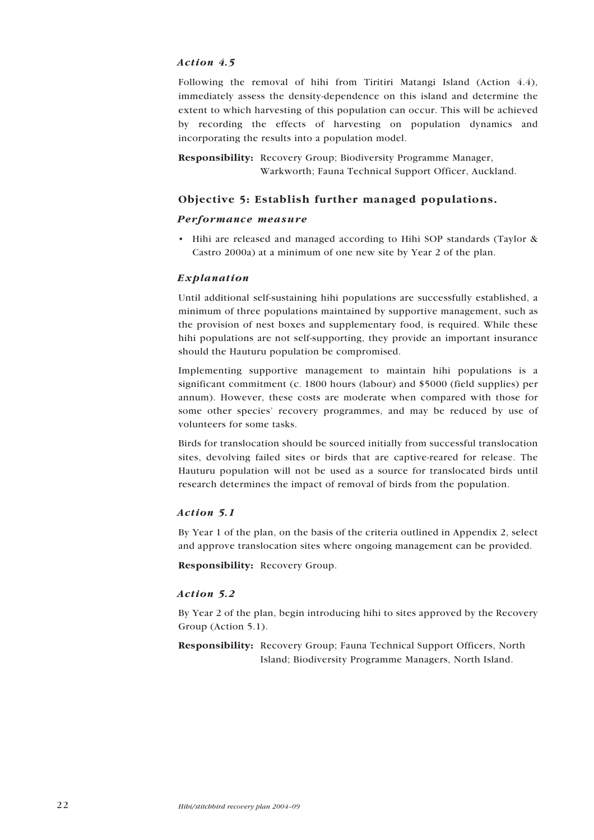#### <span id="page-21-0"></span>Action 4.5

Following the removal of hihi from Tiritiri Matangi Island (Action 4.4), immediately assess the density-dependence on this island and determine the extent to which harvesting of this population can occur. This will be achieved by recording the effects of harvesting on population dynamics and incorporating the results into a population model.

Responsibility: Recovery Group; Biodiversity Programme Manager, Warkworth; Fauna Technical Support Officer, Auckland.

#### Objective 5: Establish further managed populations.

#### Performance measure

• Hihi are released and managed according to Hihi SOP standards (Taylor & Castro 2000a) at a minimum of one new site by Year 2 of the plan.

#### Explanation

Until additional self-sustaining hihi populations are successfully established, a minimum of three populations maintained by supportive management, such as the provision of nest boxes and supplementary food, is required. While these hihi populations are not self-supporting, they provide an important insurance should the Hauturu population be compromised.

Implementing supportive management to maintain hihi populations is a significant commitment (c. 1800 hours (labour) and \$5000 (field supplies) per annum). However, these costs are moderate when compared with those for some other species' recovery programmes, and may be reduced by use of volunteers for some tasks.

Birds for translocation should be sourced initially from successful translocation sites, devolving failed sites or birds that are captive-reared for release. The Hauturu population will not be used as a source for translocated birds until research determines the impact of removal of birds from the population.

#### Action 5.1

By Year 1 of the plan, on the basis of the criteria outlined in Appendix 2, select and approve translocation sites where ongoing management can be provided.

Responsibility: Recovery Group.

#### Action 5.2

By Year 2 of the plan, begin introducing hihi to sites approved by the Recovery Group (Action 5.1).

Responsibility: Recovery Group; Fauna Technical Support Officers, North Island; Biodiversity Programme Managers, North Island.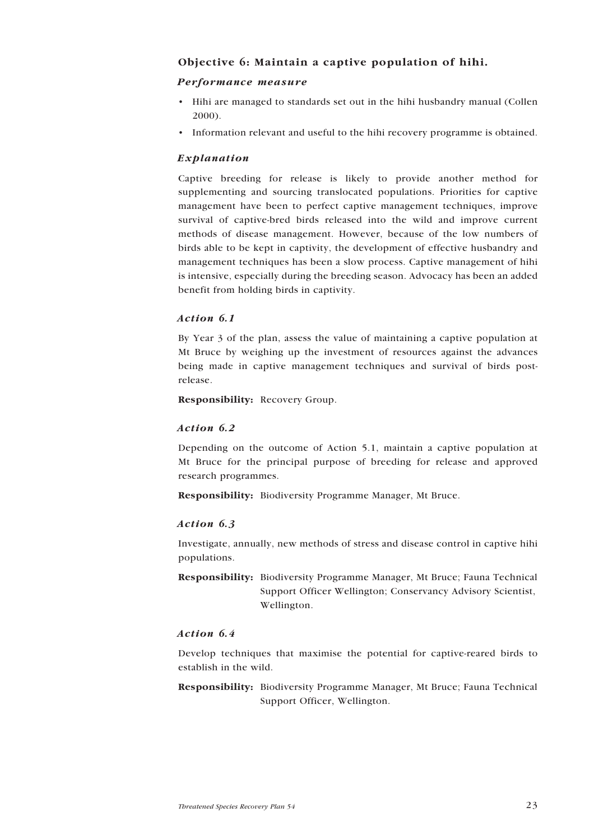### <span id="page-22-0"></span>Objective 6: Maintain a captive population of hihi.

#### Performance measure

- Hihi are managed to standards set out in the hihi husbandry manual (Collen 2000).
- Information relevant and useful to the hihi recovery programme is obtained.

#### Explanation

Captive breeding for release is likely to provide another method for supplementing and sourcing translocated populations. Priorities for captive management have been to perfect captive management techniques, improve survival of captive-bred birds released into the wild and improve current methods of disease management. However, because of the low numbers of birds able to be kept in captivity, the development of effective husbandry and management techniques has been a slow process. Captive management of hihi is intensive, especially during the breeding season. Advocacy has been an added benefit from holding birds in captivity.

#### Action 6.1

By Year 3 of the plan, assess the value of maintaining a captive population at Mt Bruce by weighing up the investment of resources against the advances being made in captive management techniques and survival of birds postrelease.

Responsibility: Recovery Group.

#### Action 6.2

Depending on the outcome of Action 5.1, maintain a captive population at Mt Bruce for the principal purpose of breeding for release and approved research programmes.

Responsibility: Biodiversity Programme Manager, Mt Bruce.

#### Action 6.3

Investigate, annually, new methods of stress and disease control in captive hihi populations.

Responsibility: Biodiversity Programme Manager, Mt Bruce; Fauna Technical Support Officer Wellington; Conservancy Advisory Scientist, Wellington.

#### Action 6.4

Develop techniques that maximise the potential for captive-reared birds to establish in the wild.

Responsibility: Biodiversity Programme Manager, Mt Bruce; Fauna Technical Support Officer, Wellington.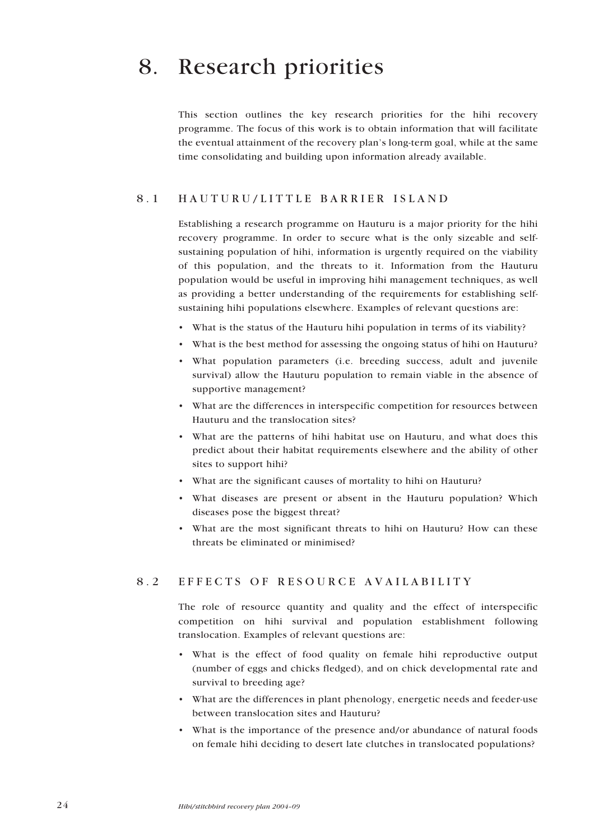## <span id="page-23-0"></span>8. Research priorities

This section outlines the key research priorities for the hihi recovery programme. The focus of this work is to obtain information that will facilitate the eventual attainment of the recovery plan's long-term goal, while at the same time consolidating and building upon information already available.

### 8.1 HAUTURU/LITTLE BARRIER ISLAND

Establishing a research programme on Hauturu is a major priority for the hihi recovery programme. In order to secure what is the only sizeable and selfsustaining population of hihi, information is urgently required on the viability of this population, and the threats to it. Information from the Hauturu population would be useful in improving hihi management techniques, as well as providing a better understanding of the requirements for establishing selfsustaining hihi populations elsewhere. Examples of relevant questions are:

- What is the status of the Hauturu hihi population in terms of its viability?
- What is the best method for assessing the ongoing status of hihi on Hauturu?
- ï What population parameters (i.e. breeding success, adult and juvenile survival) allow the Hauturu population to remain viable in the absence of supportive management?
- What are the differences in interspecific competition for resources between Hauturu and the translocation sites?
- What are the patterns of hihi habitat use on Hauturu, and what does this predict about their habitat requirements elsewhere and the ability of other sites to support hihi?
- What are the significant causes of mortality to hihi on Hauturu?
- ï What diseases are present or absent in the Hauturu population? Which diseases pose the biggest threat?
- What are the most significant threats to hihi on Hauturu? How can these threats be eliminated or minimised?

### 8.2 EFFECTS OF RESOURCE AVAILABILITY

The role of resource quantity and quality and the effect of interspecific competition on hihi survival and population establishment following translocation. Examples of relevant questions are:

- ï What is the effect of food quality on female hihi reproductive output (number of eggs and chicks fledged), and on chick developmental rate and survival to breeding age?
- What are the differences in plant phenology, energetic needs and feeder-use between translocation sites and Hauturu?
- What is the importance of the presence and/or abundance of natural foods on female hihi deciding to desert late clutches in translocated populations?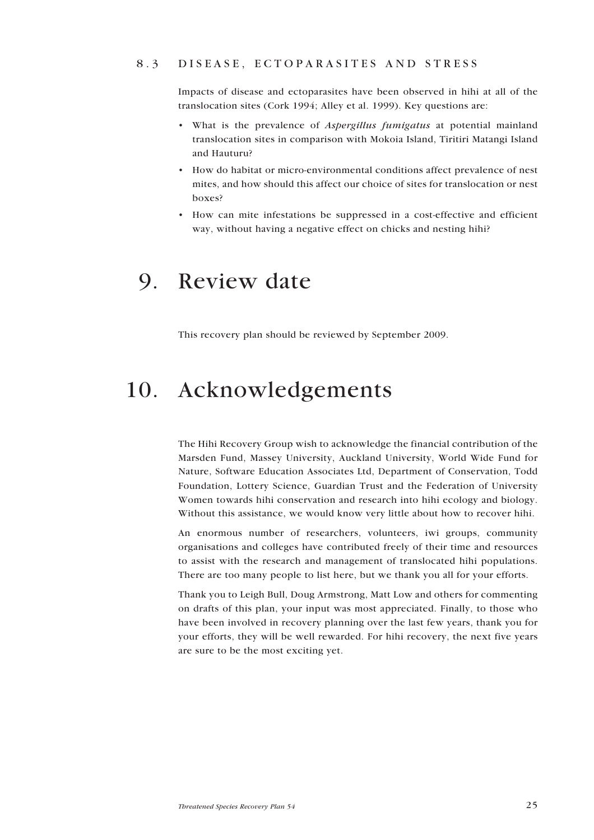#### <span id="page-24-0"></span>8.3 DISEASE, ECTOPARASITES AND STRESS

Impacts of disease and ectoparasites have been observed in hihi at all of the translocation sites (Cork 1994; Alley et al. 1999). Key questions are:

- What is the prevalence of Aspergillus fumigatus at potential mainland translocation sites in comparison with Mokoia Island, Tiritiri Matangi Island and Hauturu?
- How do habitat or micro-environmental conditions affect prevalence of nest mites, and how should this affect our choice of sites for translocation or nest boxes?
- ï How can mite infestations be suppressed in a cost-effective and efficient way, without having a negative effect on chicks and nesting hihi?

## 9. Review date

This recovery plan should be reviewed by September 2009.

## 10. Acknowledgements

The Hihi Recovery Group wish to acknowledge the financial contribution of the Marsden Fund, Massey University, Auckland University, World Wide Fund for Nature, Software Education Associates Ltd, Department of Conservation, Todd Foundation, Lottery Science, Guardian Trust and the Federation of University Women towards hihi conservation and research into hihi ecology and biology. Without this assistance, we would know very little about how to recover hihi.

An enormous number of researchers, volunteers, iwi groups, community organisations and colleges have contributed freely of their time and resources to assist with the research and management of translocated hihi populations. There are too many people to list here, but we thank you all for your efforts.

Thank you to Leigh Bull, Doug Armstrong, Matt Low and others for commenting on drafts of this plan, your input was most appreciated. Finally, to those who have been involved in recovery planning over the last few years, thank you for your efforts, they will be well rewarded. For hihi recovery, the next five years are sure to be the most exciting yet.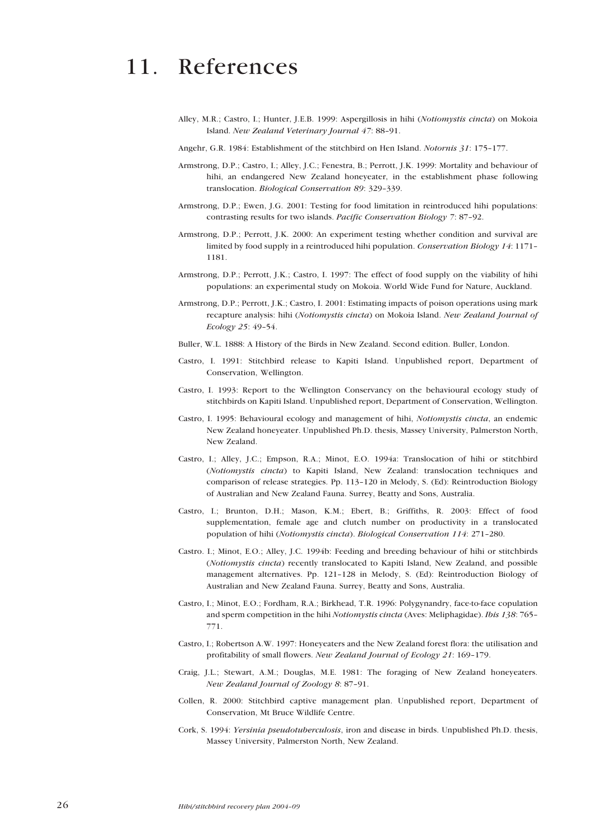## <span id="page-25-0"></span>11. References

- Alley, M.R.; Castro, I.; Hunter, J.E.B. 1999: Aspergillosis in hihi (Notiomystis cincta) on Mokoia Island. New Zealand Veterinary Journal 47: 88-91.
- Angehr, G.R. 1984: Establishment of the stitchbird on Hen Island. Notornis 31: 175-177.
- Armstrong, D.P.; Castro, I.; Alley, J.C.; Fenestra, B.; Perrott, J.K. 1999: Mortality and behaviour of hihi, an endangered New Zealand honeyeater, in the establishment phase following translocation. Biological Conservation 89: 329-339.
- Armstrong, D.P.; Ewen, J.G. 2001: Testing for food limitation in reintroduced hihi populations: contrasting results for two islands. Pacific Conservation Biology 7: 87-92.
- Armstrong, D.P.; Perrott, J.K. 2000: An experiment testing whether condition and survival are limited by food supply in a reintroduced hihi population. Conservation Biology 14: 1171-1181.
- Armstrong, D.P.; Perrott, J.K.; Castro, I. 1997: The effect of food supply on the viability of hihi populations: an experimental study on Mokoia. World Wide Fund for Nature, Auckland.
- Armstrong, D.P.; Perrott, J.K.; Castro, I. 2001: Estimating impacts of poison operations using mark recapture analysis: hihi (Notiomystis cincta) on Mokoia Island. New Zealand Journal of Ecology 25: 49-54.
- Buller, W.L. 1888: A History of the Birds in New Zealand. Second edition. Buller, London.
- Castro, I. 1991: Stitchbird release to Kapiti Island. Unpublished report, Department of Conservation, Wellington.
- Castro, I. 1993: Report to the Wellington Conservancy on the behavioural ecology study of stitchbirds on Kapiti Island. Unpublished report, Department of Conservation, Wellington.
- Castro, I. 1995: Behavioural ecology and management of hihi, Notiomystis cincta, an endemic New Zealand honeyeater. Unpublished Ph.D. thesis, Massey University, Palmerston North, New Zealand.
- Castro, I.; Alley, J.C.; Empson, R.A.; Minot, E.O. 1994a: Translocation of hihi or stitchbird (Notiomystis cincta) to Kapiti Island, New Zealand: translocation techniques and comparison of release strategies. Pp. 113-120 in Melody, S. (Ed): Reintroduction Biology of Australian and New Zealand Fauna. Surrey, Beatty and Sons, Australia.
- Castro, I.; Brunton, D.H.; Mason, K.M.; Ebert, B.; Griffiths, R. 2003: Effect of food supplementation, female age and clutch number on productivity in a translocated population of hihi (Notiomystis cincta). Biological Conservation 114: 271-280.
- Castro. I.; Minot, E.O.; Alley, J.C. 1994b: Feeding and breeding behaviour of hihi or stitchbirds (Notiomystis cincta) recently translocated to Kapiti Island, New Zealand, and possible management alternatives. Pp.  $121-128$  in Melody, S. (Ed): Reintroduction Biology of Australian and New Zealand Fauna. Surrey, Beatty and Sons, Australia.
- Castro, I.; Minot, E.O.; Fordham, R.A.; Birkhead, T.R. 1996: Polygynandry, face-to-face copulation and sperm competition in the hihi Notiomystis cincta (Aves: Meliphagidae). Ibis 138:765-771.
- Castro, I.; Robertson A.W. 1997: Honeyeaters and the New Zealand forest flora: the utilisation and profitability of small flowers. New Zealand Journal of Ecology 21: 169-179.
- Craig, J.L.; Stewart, A.M.; Douglas, M.E. 1981: The foraging of New Zealand honeyeaters. New Zealand Journal of Zoology 8: 87-91.
- Collen, R. 2000: Stitchbird captive management plan. Unpublished report, Department of Conservation, Mt Bruce Wildlife Centre.
- Cork, S. 1994: Yersinia pseudotuberculosis, iron and disease in birds. Unpublished Ph.D. thesis, Massey University, Palmerston North, New Zealand.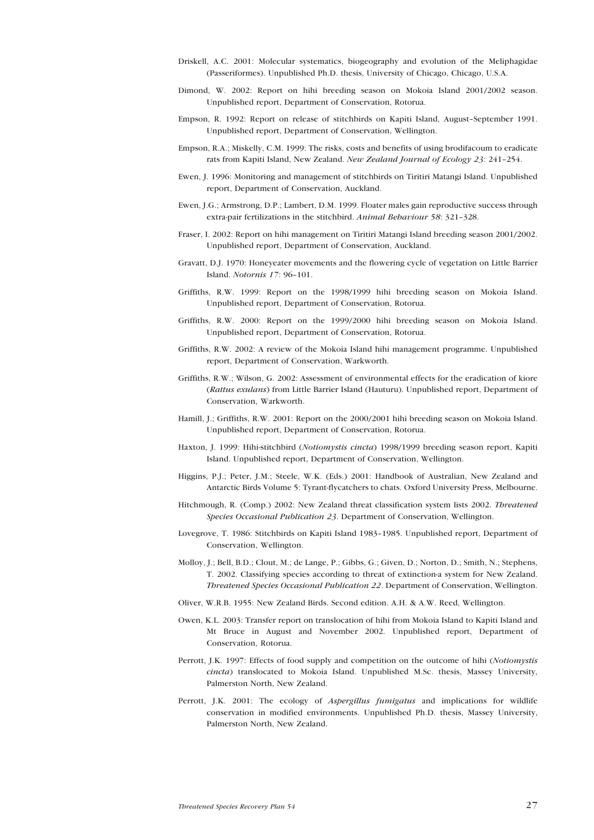- Driskell, A.C. 2001: Molecular systematics, biogeography and evolution of the Meliphagidae (Passeriformes). Unpublished Ph.D. thesis, University of Chicago, Chicago, U.S.A.
- Dimond, W. 2002: Report on hihi breeding season on Mokoia Island 2001/2002 season. Unpublished report, Department of Conservation, Rotorua.
- Empson, R. 1992: Report on release of stitchbirds on Kapiti Island, August-September 1991. Unpublished report, Department of Conservation, Wellington.
- Empson, R.A.; Miskelly, C.M. 1999: The risks, costs and benefits of using brodifacoum to eradicate rats from Kapiti Island, New Zealand. New Zealand Journal of Ecology 23: 241-254.
- Ewen, J. 1996: Monitoring and management of stitchbirds on Tiritiri Matangi Island. Unpublished report, Department of Conservation, Auckland.
- Ewen, J.G.; Armstrong, D.P.; Lambert, D.M. 1999. Floater males gain reproductive success through extra-pair fertilizations in the stitchbird. Animal Behaviour 58: 321-328.
- Fraser, I. 2002: Report on hihi management on Tiritiri Matangi Island breeding season 2001/2002. Unpublished report, Department of Conservation, Auckland.
- Gravatt, D.J. 1970: Honeyeater movements and the flowering cycle of vegetation on Little Barrier Island. Notornis 17: 96-101.
- Griffiths, R.W. 1999: Report on the 1998/1999 hihi breeding season on Mokoia Island. Unpublished report, Department of Conservation, Rotorua.
- Griffiths, R.W. 2000: Report on the 1999/2000 hihi breeding season on Mokoia Island. Unpublished report, Department of Conservation, Rotorua.
- Griffiths, R.W. 2002: A review of the Mokoia Island hihi management programme. Unpublished report, Department of Conservation, Warkworth.
- Griffiths, R.W.; Wilson, G. 2002: Assessment of environmental effects for the eradication of kiore (Rattus exulans) from Little Barrier Island (Hauturu). Unpublished report, Department of Conservation, Warkworth.
- Hamill, J.; Griffiths, R.W. 2001: Report on the 2000/2001 hihi breeding season on Mokoia Island. Unpublished report, Department of Conservation, Rotorua.
- Haxton, J. 1999: Hihi-stitchbird (Notiomystis cincta) 1998/1999 breeding season report, Kapiti Island. Unpublished report, Department of Conservation, Wellington.
- Higgins, P.J.; Peter, J.M.; Steele, W.K. (Eds.) 2001: Handbook of Australian, New Zealand and Antarctic Birds Volume 5: Tyrant-flycatchers to chats. Oxford University Press, Melbourne.
- Hitchmough, R. (Comp.) 2002: New Zealand threat classification system lists 2002. Threatened Species Occasional Publication 23. Department of Conservation, Wellington.
- Lovegrove, T. 1986: Stitchbirds on Kapiti Island 1983-1985. Unpublished report, Department of Conservation, Wellington.
- Molloy, J.; Bell, B.D.; Clout, M.; de Lange, P.; Gibbs, G.; Given, D.; Norton, D.; Smith, N.; Stephens, T. 2002. Classifying species according to threat of extinction-a system for New Zealand. Threatened Species Occasional Publication 22. Department of Conservation, Wellington.
- Oliver, W.R.B. 1955: New Zealand Birds. Second edition. A.H. & A.W. Reed, Wellington.
- Owen, K.L. 2003: Transfer report on translocation of hihi from Mokoia Island to Kapiti Island and Mt Bruce in August and November 2002. Unpublished report, Department of Conservation, Rotorua.
- Perrott, J.K. 1997: Effects of food supply and competition on the outcome of hihi (Notiomystis cincta) translocated to Mokoia Island. Unpublished M.Sc. thesis, Massey University, Palmerston North, New Zealand.
- Perrott, J.K. 2001: The ecology of Aspergillus fumigatus and implications for wildlife conservation in modified environments. Unpublished Ph.D. thesis, Massey University, Palmerston North, New Zealand.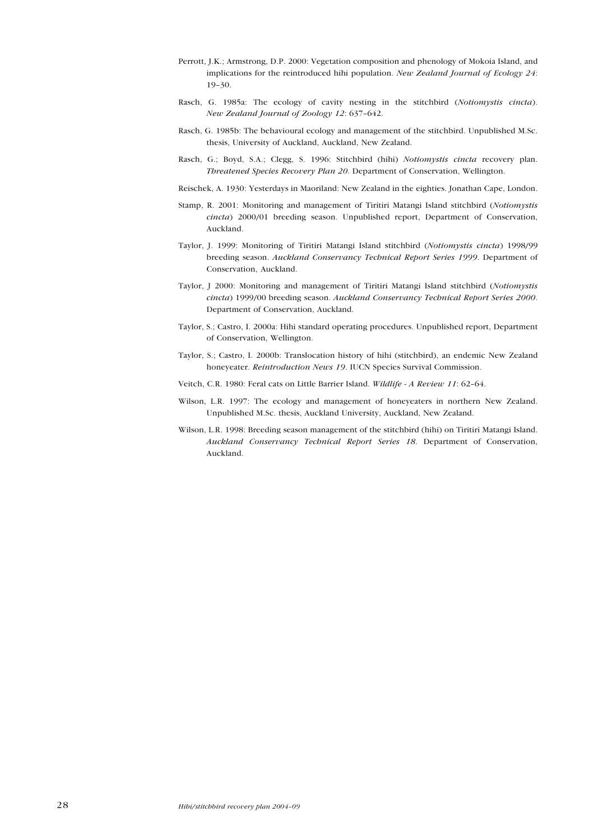- Perrott, J.K.; Armstrong, D.P. 2000: Vegetation composition and phenology of Mokoia Island, and implications for the reintroduced hihi population. New Zealand Journal of Ecology 24:  $19-30.$
- Rasch, G. 1985a: The ecology of cavity nesting in the stitchbird (Notiomystis cincta). New Zealand Journal of Zoology 12: 637-642.
- Rasch, G. 1985b: The behavioural ecology and management of the stitchbird. Unpublished M.Sc. thesis, University of Auckland, Auckland, New Zealand.
- Rasch, G.; Boyd, S.A.; Clegg, S. 1996: Stitchbird (hihi) Notiomystis cincta recovery plan. Threatened Species Recovery Plan 20. Department of Conservation, Wellington.
- Reischek, A. 1930: Yesterdays in Maoriland: New Zealand in the eighties. Jonathan Cape, London.
- Stamp, R. 2001: Monitoring and management of Tiritiri Matangi Island stitchbird (Notiomystis cincta) 2000/01 breeding season. Unpublished report, Department of Conservation, Auckland.
- Taylor, J. 1999: Monitoring of Tiritiri Matangi Island stitchbird (Notiomystis cincta) 1998/99 breeding season. Auckland Conservancy Technical Report Series 1999. Department of Conservation, Auckland.
- Taylor, J 2000: Monitoring and management of Tiritiri Matangi Island stitchbird (Notiomystis cincta) 1999/00 breeding season. Auckland Conservancy Technical Report Series 2000. Department of Conservation, Auckland.
- Taylor, S.; Castro, I. 2000a: Hihi standard operating procedures. Unpublished report, Department of Conservation, Wellington.
- Taylor, S.; Castro, I. 2000b: Translocation history of hihi (stitchbird), an endemic New Zealand honeyeater. *Reintroduction News 19*. IUCN Species Survival Commission.
- Veitch, C.R. 1980: Feral cats on Little Barrier Island. Wildlife A Review 11: 62-64.
- Wilson, L.R. 1997: The ecology and management of honeyeaters in northern New Zealand. Unpublished M.Sc. thesis, Auckland University, Auckland, New Zealand.
- Wilson, L.R. 1998: Breeding season management of the stitchbird (hihi) on Tiritiri Matangi Island. Auckland Conservancy Technical Report Series 18. Department of Conservation, Auckland.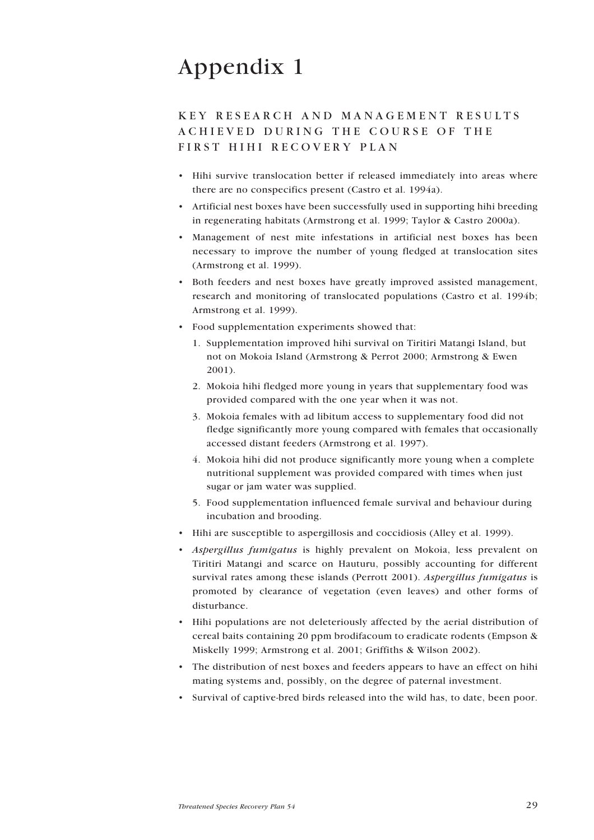# <span id="page-28-0"></span>Appendix 1

## KEY RESEARCH AND MANAGEMENT RESULTS ACHIEVED DURING THE COURSE OF THE FIRST HIHI RECOVERY PLAN

- Hihi survive translocation better if released immediately into areas where there are no conspecifics present (Castro et al. 1994a).
- Artificial nest boxes have been successfully used in supporting hihi breeding in regenerating habitats (Armstrong et al. 1999; Taylor & Castro 2000a).
- Management of nest mite infestations in artificial nest boxes has been necessary to improve the number of young fledged at translocation sites (Armstrong et al. 1999).
- ï Both feeders and nest boxes have greatly improved assisted management, research and monitoring of translocated populations (Castro et al. 1994b; Armstrong et al. 1999).
- Food supplementation experiments showed that:
	- 1. Supplementation improved hihi survival on Tiritiri Matangi Island, but not on Mokoia Island (Armstrong & Perrot 2000; Armstrong & Ewen 2001).
	- 2. Mokoia hihi fledged more young in years that supplementary food was provided compared with the one year when it was not.
	- 3. Mokoia females with ad libitum access to supplementary food did not fledge significantly more young compared with females that occasionally accessed distant feeders (Armstrong et al. 1997).
	- 4. Mokoia hihi did not produce significantly more young when a complete nutritional supplement was provided compared with times when just sugar or jam water was supplied.
	- 5. Food supplementation influenced female survival and behaviour during incubation and brooding.
- ï Hihi are susceptible to aspergillosis and coccidiosis (Alley et al. 1999).
- Aspergillus fumigatus is highly prevalent on Mokoia, less prevalent on Tiritiri Matangi and scarce on Hauturu, possibly accounting for different survival rates among these islands (Perrott 2001). Aspergillus fumigatus is promoted by clearance of vegetation (even leaves) and other forms of disturbance.
- ï Hihi populations are not deleteriously affected by the aerial distribution of cereal baits containing 20 ppm brodifacoum to eradicate rodents (Empson & Miskelly 1999; Armstrong et al. 2001; Griffiths & Wilson 2002).
- The distribution of nest boxes and feeders appears to have an effect on hihi mating systems and, possibly, on the degree of paternal investment.
- Survival of captive-bred birds released into the wild has, to date, been poor.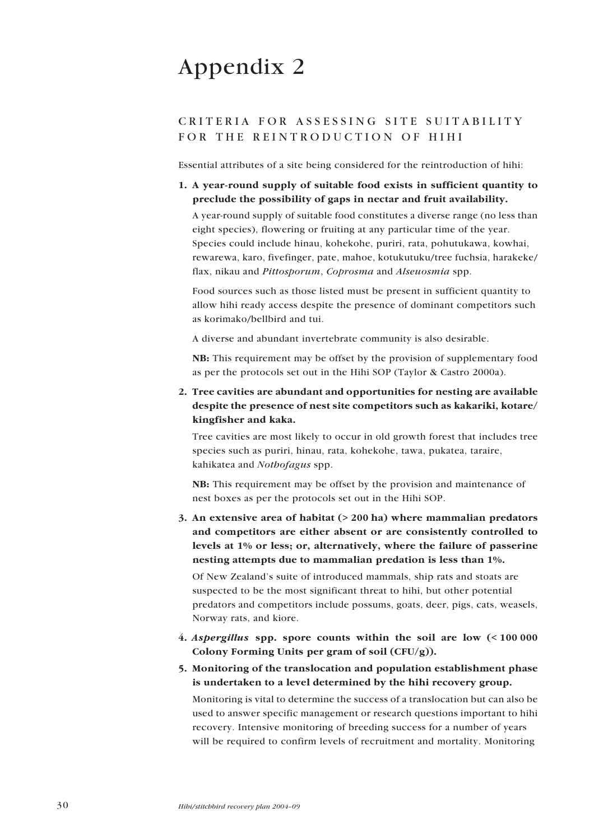# <span id="page-29-0"></span>Appendix 2

## CRITERIA FOR ASSESSING SITE SUITABILITY FOR THE REINTRODUCTION OF HIHI

Essential attributes of a site being considered for the reintroduction of hihi:

1. A year-round supply of suitable food exists in sufficient quantity to preclude the possibility of gaps in nectar and fruit availability.

A year-round supply of suitable food constitutes a diverse range (no less than eight species), flowering or fruiting at any particular time of the year. Species could include hinau, kohekohe, puriri, rata, pohutukawa, kowhai, rewarewa, karo, fivefinger, pate, mahoe, kotukutuku/tree fuchsia, harakeke/ flax, nikau and Pittosporum, Coprosma and Alseuosmia spp.

Food sources such as those listed must be present in sufficient quantity to allow hihi ready access despite the presence of dominant competitors such as korimako/bellbird and tui.

A diverse and abundant invertebrate community is also desirable.

NB: This requirement may be offset by the provision of supplementary food as per the protocols set out in the Hihi SOP (Taylor & Castro 2000a).

2. Tree cavities are abundant and opportunities for nesting are available despite the presence of nest site competitors such as kakariki, kotare/ kingfisher and kaka.

Tree cavities are most likely to occur in old growth forest that includes tree species such as puriri, hinau, rata, kohekohe, tawa, pukatea, taraire, kahikatea and Nothofagus spp.

NB: This requirement may be offset by the provision and maintenance of nest boxes as per the protocols set out in the Hihi SOP.

3. An extensive area of habitat (> 200 ha) where mammalian predators and competitors are either absent or are consistently controlled to levels at 1% or less; or, alternatively, where the failure of passerine nesting attempts due to mammalian predation is less than 1%.

Of New Zealand's suite of introduced mammals, ship rats and stoats are suspected to be the most significant threat to hihi, but other potential predators and competitors include possums, goats, deer, pigs, cats, weasels, Norway rats, and kiore.

- 4. Aspergillus spp. spore counts within the soil are low (< 100 000 Colony Forming Units per gram of soil (CFU/g)).
- 5. Monitoring of the translocation and population establishment phase is undertaken to a level determined by the hihi recovery group. Monitoring is vital to determine the success of a translocation but can also be used to answer specific management or research questions important to hihi recovery. Intensive monitoring of breeding success for a number of years will be required to confirm levels of recruitment and mortality. Monitoring